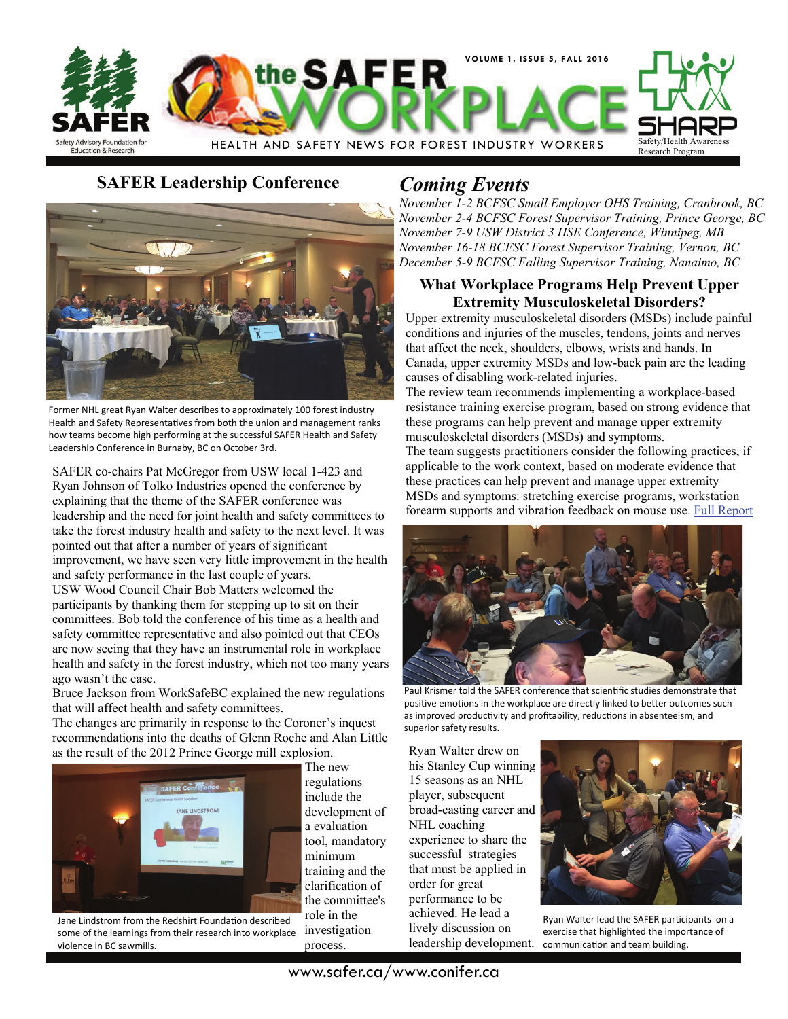

# **SAFER Leadership Conference** *Coming Events*



Former NHL great Ryan Walter describes to approximately 100 forest industry Health and Safety Representatives from both the union and management ranks how teams become high performing at the successful SAFER Health and Safety Leadership Conference in Burnaby, BC on October 3rd.

SAFER co-chairs Pat McGregor from USW local 1-423 and Ryan Johnson of Tolko Industries opened the conference by explaining that the theme of the SAFER conference was leadership and the need for joint health and safety committees to take the forest industry health and safety to the next level. It was pointed out that after a number of years of significant improvement, we have seen very little improvement in the health and safety performance in the last couple of years. USW Wood Council Chair Bob Matters welcomed the participants by thanking them for stepping up to sit on their committees. Bob told the conference of his time as a health and safety committee representative and also pointed out that CEOs are now seeing that they have an instrumental role in workplace health and safety in the forest industry, which not too many years ago wasn't the case.

Bruce Jackson from WorkSafeBC explained the new regulations that will affect health and safety committees.

The changes are primarily in response to the Coroner's inquest recommendations into the deaths of Glenn Roche and Alan Little as the result of the 2012 Prince George mill explosion.



violence in BC sawmills.

regulations include the development of a evaluation tool, mandatory minimum training and the clarification of the committee's role in the investigation process. Jane Lindstrom from the Redshirt Foundation described some of the learnings from their research into workplace

The new

*November 1-2 BCFSC Small Employer OHS Training, Cranbrook, BC November 2-4 BCFSC Forest Supervisor Training, Prince George, BC November 7-9 USW District 3 HSE Conference, Winnipeg, MB November 16-18 BCFSC Forest Supervisor Training, Vernon, BC December 5-9 BCFSC Falling Supervisor Training, Nanaimo, BC* 

### **What Workplace Programs Help Prevent Upper Extremity Musculoskeletal Disorders?**

Upper extremity musculoskeletal disorders (MSDs) include painful conditions and injuries of the muscles, tendons, joints and nerves that affect the neck, shoulders, elbows, wrists and hands. In Canada, upper extremity MSDs and low-back pain are the leading causes of disabling work-related injuries.

The review team recommends implementing a workplace-based resistance training exercise program, based on strong evidence that these programs can help prevent and manage upper extremity musculoskeletal disorders (MSDs) and symptoms.

The team suggests practitioners consider the following practices, if applicable to the work context, based on moderate evidence that these practices can help prevent and manage upper extremity MSDs and symptoms: stretching exercise programs, workstation forearm supports and vibration feedback on mouse use. [Full Report](http://www.iwh.on.ca/system/files/sbe/sbe-ue-msd-final_1.pdf)



Paul Krismer told the SAFER conference that scientific studies demonstrate that positive emotions in the workplace are directly linked to better outcomes such as improved productivity and profitability, reductions in absenteeism, and superior safety results.

Ryan Walter drew on his Stanley Cup winning 15 seasons as an NHL player, subsequent broad-casting career and NHL coaching experience to share the successful strategies that must be applied in order for great performance to be achieved. He lead a lively discussion on leadership development.



Ryan Walter lead the SAFER participants on a exercise that highlighted the importance of communication and team building.

www.safer.ca/www.conifer.ca